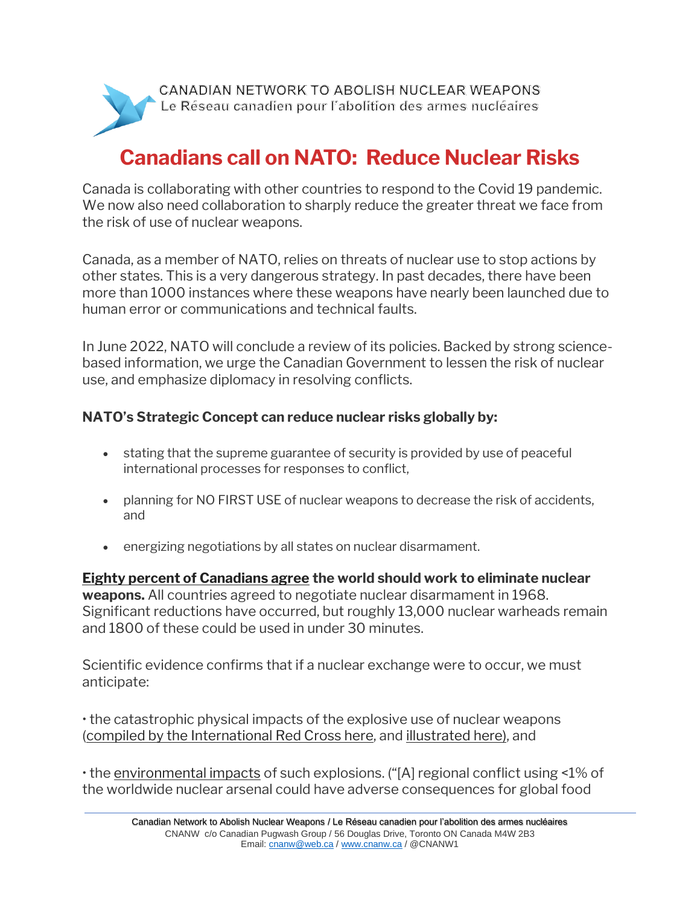

## **Canadians call on NATO: Reduce Nuclear Risks**

Canada is collaborating with other countries to respond to the Covid 19 pandemic. We now also need collaboration to sharply reduce the greater threat we face from the risk of use of nuclear weapons.

Canada, as a member of NATO, relies on threats of nuclear use to stop actions by other states. This is a very dangerous strategy. In past decades, there have been more than 1000 instances where these weapons have nearly been launched due to human error or communications and technical faults.

In June 2022, NATO will conclude a review of its policies. Backed by strong sciencebased information, we urge the Canadian Government to lessen the risk of nuclear use, and emphasize diplomacy in resolving conflicts.

## **NATO's Strategic Concept can reduce nuclear risks globally by:**

- stating that the supreme guarantee of security is provided by use of peaceful international processes for responses to conflict,
- planning for NO FIRST USE of nuclear weapons to decrease the risk of accidents, and
- energizing negotiations by all states on nuclear disarmament.

**[Eighty percent of Canadians agree](https://www.thesimonsfoundation.ca/highlights/new-nanos-poll-finds-strong-nuclear-weapons-concerns#:~:text=80%25%20of%20Canadians%20polled%20stated,have%20nuclear%20weapons%20for%20protection.) the world should work to eliminate nuclear weapons.** All countries agreed to negotiate nuclear disarmament in 1968. Significant reductions have occurred, but roughly 13,000 nuclear warheads remain and 1800 of these could be used in under 30 minutes.

Scientific evidence confirms that if a nuclear exchange were to occur, we must anticipate:

• the catastrophic physical impacts of the explosive use of nuclear weapons [\(compiled by the International Red Cross here,](https://www.icrc.org/en/document/humanitarian-impacts-and-risks-use-nuclear-weapons) and [illustrated here\),](https://nuclearsecrecy.com/nukemap/) and

• the [environmental impacts](http://climate.envsci.rutgers.edu/pdf/JagermeyrPNAS.pdf) of such explosions. ("[A] regional conflict using <1% of the worldwide nuclear arsenal could have adverse consequences for global food